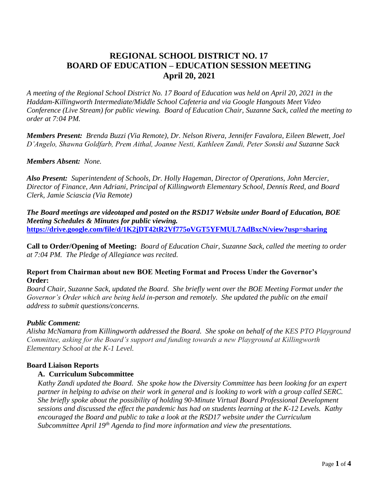# **REGIONAL SCHOOL DISTRICT NO. 17 BOARD OF EDUCATION – EDUCATION SESSION MEETING April 20, 2021**

*A meeting of the Regional School District No. 17 Board of Education was held on April 20, 2021 in the Haddam-Killingworth Intermediate/Middle School Cafeteria and via Google Hangouts Meet Video Conference (Live Stream) for public viewing. Board of Education Chair, Suzanne Sack, called the meeting to order at 7:04 PM.*

*Members Present: Brenda Buzzi (Via Remote), Dr. Nelson Rivera, Jennifer Favalora, Eileen Blewett, Joel D'Angelo, Shawna Goldfarb, Prem Aithal, Joanne Nesti, Kathleen Zandi, Peter Sonski and Suzanne Sack* 

*Members Absent: None.*

*Also Present: Superintendent of Schools, Dr. Holly Hageman, Director of Operations, John Mercier, Director of Finance, Ann Adriani, Principal of Killingworth Elementary School, Dennis Reed, and Board Clerk, Jamie Sciascia (Via Remote)*

*The Board meetings are videotaped and posted on the RSD17 Website under Board of Education, BOE Meeting Schedules & Minutes for public viewing.*  **<https://drive.google.com/file/d/1K2jDT42tR2Vf775oVGT5YFMUL7AdBxcN/view?usp=sharing>**

**Call to Order/Opening of Meeting:** *Board of Education Chair, Suzanne Sack, called the meeting to order at 7:04 PM. The Pledge of Allegiance was recited.*

## **Report from Chairman about new BOE Meeting Format and Process Under the Governor's Order:**

*Board Chair, Suzanne Sack, updated the Board. She briefly went over the BOE Meeting Format under the Governor's Order which are being held in-person and remotely. She updated the public on the email address to submit questions/concerns.*

# *Public Comment:*

*Alisha McNamara from Killingworth addressed the Board. She spoke on behalf of the KES PTO Playground Committee, asking for the Board's support and funding towards a new Playground at Killingworth Elementary School at the K-1 Level.*

# **Board Liaison Reports**

# **A. Curriculum Subcommittee**

*Kathy Zandi updated the Board. She spoke how the Diversity Committee has been looking for an expert partner in helping to advise on their work in general and is looking to work with a group called SERC. She briefly spoke about the possibility of holding 90-Minute Virtual Board Professional Development sessions and discussed the effect the pandemic has had on students learning at the K-12 Levels. Kathy encouraged the Board and public to take a look at the RSD17 website under the Curriculum Subcommittee April 19th Agenda to find more information and view the presentations.*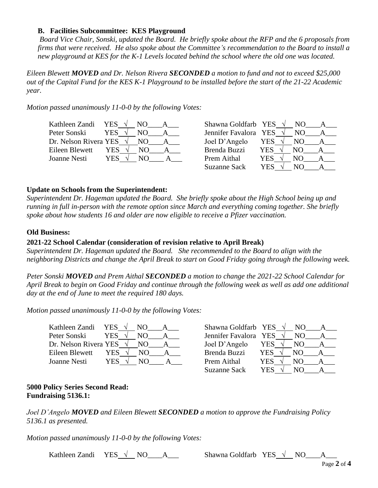## **B. Facilities Subcommittee: KES Playground**

*Board Vice Chair, Sonski, updated the Board. He briefly spoke about the RFP and the 6 proposals from firms that were received. He also spoke about the Committee's recommendation to the Board to install a new playground at KES for the K-1 Levels located behind the school where the old one was located.* 

*Eileen Blewett MOVED and Dr. Nelson Rivera SECONDED a motion to fund and not to exceed \$25,000 out of the Capital Fund for the KES K-1 Playground to be installed before the start of the 21-22 Academic year.*

*Motion passed unanimously 11-0-0 by the following Votes:*

| Kathleen Zandi                  | YES $\sqrt{ }$ | NO. | Shawna Goldfarb YES   |     | NO. |  |
|---------------------------------|----------------|-----|-----------------------|-----|-----|--|
| Peter Sonski                    | <b>YES</b>     | NO. | Jennifer Favalora YES |     | NO. |  |
| Dr. Nelson Rivera YES $\sqrt{}$ |                | NO. | Joel D'Angelo         | YES | NO. |  |
| Eileen Blewett                  | YES            | NO. | Brenda Buzzi          | YES | NO. |  |
| Joanne Nesti                    | YES .          | N() | Prem Aithal           | YES | NО  |  |
|                                 |                |     | <b>Suzanne Sack</b>   | YES | NO  |  |

## **Update on Schools from the Superintendent:**

*Superintendent Dr. Hageman updated the Board. She briefly spoke about the High School being up and running in full in-person with the remote option since March and everything coming together. She briefly spoke about how students 16 and older are now eligible to receive a Pfizer vaccination.*

## **Old Business:**

## **2021-22 School Calendar (consideration of revision relative to April Break)**

*Superintendent Dr. Hageman updated the Board. She recommended to the Board to align with the neighboring Districts and change the April Break to start on Good Friday going through the following week.* 

*Peter Sonski MOVED and Prem Aithal SECONDED a motion to change the 2021-22 School Calendar for April Break to begin on Good Friday and continue through the following week as well as add one additional day at the end of June to meet the required 180 days.* 

*Motion passed unanimously 11-0-0 by the following Votes:*

| Kathleen Zandi        | YES. | NO. | Shawna Goldfarb YES   |     | NO. |  |
|-----------------------|------|-----|-----------------------|-----|-----|--|
| Peter Sonski          | YES. | NΟ  | Jennifer Favalora YES |     |     |  |
| Dr. Nelson Rivera YES |      | NΩ  | Joel D'Angelo         | YES | NO  |  |
| Eileen Blewett        | YES  | NΟ  | Brenda Buzzi          | YES | NΩ  |  |
| Joanne Nesti          | YES. | NΩ  | Prem Aithal           | YES |     |  |

| Shawna Goldfarb YES   |            | NO. |  |
|-----------------------|------------|-----|--|
| Jennifer Favalora YES |            | NO. |  |
| Joel D'Angelo         | YES        | NО  |  |
| <b>Brenda Buzzi</b>   | <b>YES</b> | NO. |  |
| Prem Aithal           | <b>YES</b> | NO. |  |
| <b>Suzanne Sack</b>   | YES        | NΟ  |  |

## **5000 Policy Series Second Read: Fundraising 5136.1:**

*Joel D'Angelo MOVED and Eileen Blewett SECONDED a motion to approve the Fundraising Policy 5136.1 as presented.*

*Motion passed unanimously 11-0-0 by the following Votes:*

Kathleen Zandi YES **√** NO\_\_\_\_A\_\_\_ Shawna Goldfarb YES **√** NO\_\_\_\_A\_\_\_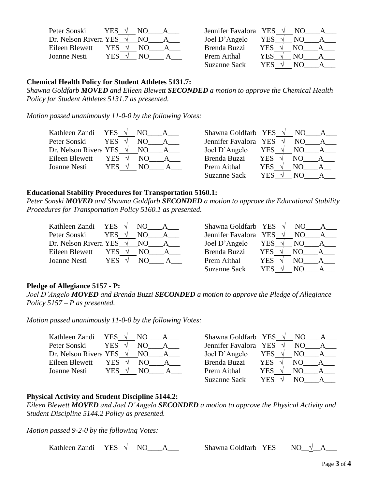| Peter Sonski          | YE. |    |  |
|-----------------------|-----|----|--|
| Dr. Nelson Rivera YES |     |    |  |
| Eileen Blewett        | YES | NO |  |
| Joanne Nesti          | YES |    |  |

| Peter Sonski                    | YES . |     | Jennifer Favalora YES |      | NO. |  |
|---------------------------------|-------|-----|-----------------------|------|-----|--|
| Dr. Nelson Rivera YES $\sqrt{}$ |       | NO. | Joel D'Angelo         | YES  | NO. |  |
| Eileen Blewett                  | YES   | NΟ  | Brenda Buzzi          | YES  | N() |  |
| Joanne Nesti                    | YES.  |     | Prem Aithal           | YES  | NΟ  |  |
|                                 |       |     | <b>Suzanne Sack</b>   | YES. | NO) |  |

## **Chemical Health Policy for Student Athletes 5131.7:**

*Shawna Goldfarb MOVED and Eileen Blewett SECONDED a motion to approve the Chemical Health Policy for Student Athletes 5131.7 as presented.*

*Motion passed unanimously 11-0-0 by the following Votes:*

| Kathleen Zandi        | YES.         | Shawna Goldfarb YES   | NO.         |  |
|-----------------------|--------------|-----------------------|-------------|--|
| Peter Sonski          | YES          | Jennifer Favalora YES | NO.         |  |
| Dr. Nelson Rivera YES | NO.          | Joel D'Angelo         | YES<br>NO.  |  |
| Eileen Blewett        | YES .<br>NO. | Brenda Buzzi          | YES.<br>NO. |  |
| Joanne Nesti          | YES<br>NO    | Prem Aithal           | YES<br>NΟ   |  |
|                       |              | <b>Suzanne Sack</b>   | YES<br>N()  |  |

## **Educational Stability Procedures for Transportation 5160.1:**

*Peter Sonski MOVED and Shawna Goldfarb SECONDED a motion to approve the Educational Stability Procedures for Transportation Policy 5160.1 as presented.*

| Kathleen Zandi        | YES- | NΩ  | Shawna Goldfarb YES   |      | NO.   |  |
|-----------------------|------|-----|-----------------------|------|-------|--|
| Peter Sonski          | YES. | N() | Jennifer Favalora YES |      | NΩ    |  |
| Dr. Nelson Rivera YES |      | NO. | Joel D'Angelo         | YES  | NO    |  |
| Eileen Blewett        | YES  | N() | Brenda Buzzi          | YES  | NO    |  |
| Joanne Nesti          | YES  | NΩ  | Prem Aithal           | YES  |       |  |
|                       |      |     |                       | ---- | - - - |  |

| Shawna Goldfarb YES   |            | NO. |  |
|-----------------------|------------|-----|--|
| Jennifer Favalora YES |            | NO. |  |
| Joel D'Angelo         | YES        | NО  |  |
| <b>Brenda Buzzi</b>   | <b>YES</b> | NO. |  |
| Prem Aithal           | <b>YES</b> | NΟ  |  |
| <b>Suzanne Sack</b>   | <b>YES</b> | NΩ  |  |

# **Pledge of Allegiance 5157 - P:**

*Joel D'Angelo MOVED and Brenda Buzzi SECONDED a motion to approve the Pledge of Allegiance Policy 5157 – P as presented.*

*Motion passed unanimously 11-0-0 by the following Votes:*

| Kathleen Zandi                  | <b>YES</b> | NO. | Shawna Goldfarb YES   |     | NO. |  |
|---------------------------------|------------|-----|-----------------------|-----|-----|--|
| Peter Sonski                    | <b>YES</b> | NО  | Jennifer Favalora YES |     | NO. |  |
| Dr. Nelson Rivera YES $\sqrt{}$ |            | NO. | Joel D'Angelo         | YES | NO. |  |
| Eileen Blewett                  | YES        | NΟ  | Brenda Buzzi          | YES | NО  |  |
| Joanne Nesti                    | YES        |     | Prem Aithal           | YES | NО  |  |
|                                 |            |     | <b>Suzanne Sack</b>   | YES |     |  |

## **Physical Activity and Student Discipline 5144.2:**

*Eileen Blewett MOVED and Joel D'Angelo SECONDED a motion to approve the Physical Activity and Student Discipline 5144.2 Policy as presented.*

*Motion passed 9-2-0 by the following Votes:*

Kathleen Zandi YES √ NO\_*A*\_\_\_ S

| Shawna Goldfarb YES |  | NO. |  |
|---------------------|--|-----|--|
|---------------------|--|-----|--|